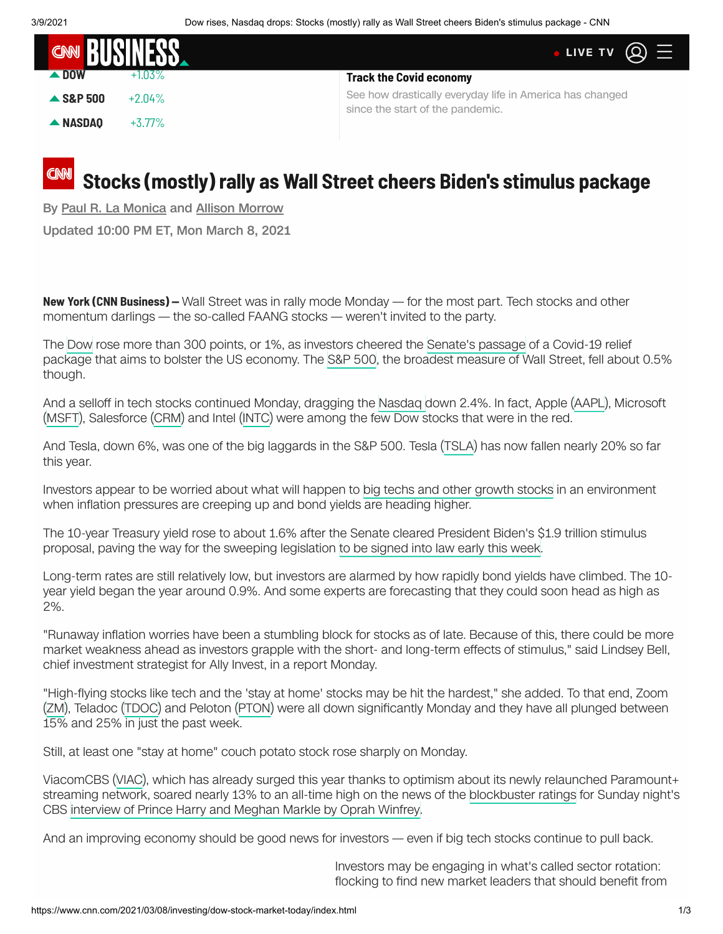| <b>CON BUSINESS</b> |           | • LIVE TV $\omega \equiv$                                                                    |
|---------------------|-----------|----------------------------------------------------------------------------------------------|
| $\triangle$ DOW     |           | <b>Track the Covid economy</b>                                                               |
| $\triangle$ S&P 500 | $+2.04\%$ | See how drastically everyday life in America has changed<br>since the start of the pandemic. |
| $\triangle$ NASDAO  | $+3.77\%$ |                                                                                              |

## **Stocks (mostly) rally as Wall Street cheers Biden's stimulus package**

By [Paul R. La Monica](https://www.cnn.com/profiles/paul-r-la-monica-profile) and [Allison Morrow](https://www.cnn.com/profiles/allison-morrow)

Updated 10:00 PM ET, Mon March 8, 2021

**New York (CNN Business) —** Wall Street was in rally mode Monday — for the most part. Tech stocks and other momentum darlings — the so-called FAANG stocks — weren't invited to the party.

The [Dow](https://money.cnn.com/data/markets/dow/) rose more than 300 points, or 1%, as investors cheered the [Senate's passage](https://www.cnn.com/2021/03/08/politics/stimulus-update-house-vote-tuesday/index.html) of a Covid-19 relief package that aims to bolster the US economy. The [S&P 500](https://money.cnn.com/data/markets/sandp/), the broadest measure of Wall Street, fell about 0.5% though.

And a selloff in tech stocks continued Monday, dragging the [Nasdaq](https://money.cnn.com/data/markets/nasdaq/) down 2.4%. In fact, Apple [\(AAPL](https://money.cnn.com/quote/quote.html?symb=AAPL&source=story_quote_link)), Microsoft ([MSFT](https://money.cnn.com/quote/quote.html?symb=MSFT&source=story_quote_link)), Salesforce [\(CRM\)](https://money.cnn.com/quote/quote.html?symb=CRM&source=story_quote_link) and Intel ([INTC](https://money.cnn.com/quote/quote.html?symb=INTC&source=story_quote_link)) were among the few Dow stocks that were in the red.

And Tesla, down 6%, was one of the big laggards in the S&P 500. Tesla [\(TSLA](https://money.cnn.com/quote/quote.html?symb=TSLA&source=story_quote_link)) has now fallen nearly 20% so far this year.

Investors appear to be worried about what will happen to [big techs and other growth stocks](https://www.cnn.com/2021/03/08/investing/premarket-stocks-trading/index.html) in an environment when inflation pressures are creeping up and bond yields are heading higher.

<span id="page-0-0"></span>The 10-year Treasury yield rose to about 1.6% after the Senate cleared President Biden's \$1.9 trillion stimulus proposal, paving the way for the sweeping legislation [to be signed into law early this week.](https://www.cnn.com/2021/03/08/politics/stimulus-update-house-vote-tuesday/index.html)

Long-term rates are still relatively low, but investors are alarmed by how rapidly bond yields have climbed. The 10 year yield began the year around 0.9%. And some experts are forecasting that they could soon head as high as 2%.

"Runaway inflation worries have been a stumbling block for stocks as of late. Because of this, there could be more market weakness ahead as investors grapple with the short- and long-term effects of stimulus," said Lindsey Bell, chief investment strategist for Ally Invest, in a report Monday.

"High-flying stocks like tech and the 'stay at home' stocks may be hit the hardest," she added. To that end, Zoom ([ZM](https://money.cnn.com/quote/quote.html?symb=ZM&source=story_quote_link)), Teladoc ([TDOC\)](https://money.cnn.com/quote/quote.html?symb=TDOC&source=story_quote_link) and Peloton ([PTON](https://money.cnn.com/quote/quote.html?symb=PTON&source=story_quote_link)) were all down significantly Monday and they have all plunged between 15% and 25% in just the past week.

Still, at least one "stay at home" couch potato stock rose sharply on Monday.

ViacomCBS ([VIAC](https://money.cnn.com/quote/quote.html?symb=VIAC&source=story_quote_link)), which has already surged this year thanks to optimism about its newly relaunched Paramount+ streaming network, soared nearly 13% to an all-time high on the news of the [blockbuster ratings](http://www.cnn.com/2021/03/08/media/ratings-oprah-meghan-harry/index.html) for Sunday night's CBS [interview of Prince Harry and Meghan Markle by Oprah Winfrey.](http://www.cnn.com/2021/03/05/media/oprah-meghan-harry-interview/index.html)

And an improving economy should be good news for investors — even if big tech stocks continue to pull back.

Investors may be engaging in what's called sector rotation: flocking to find new market leaders that should benefit from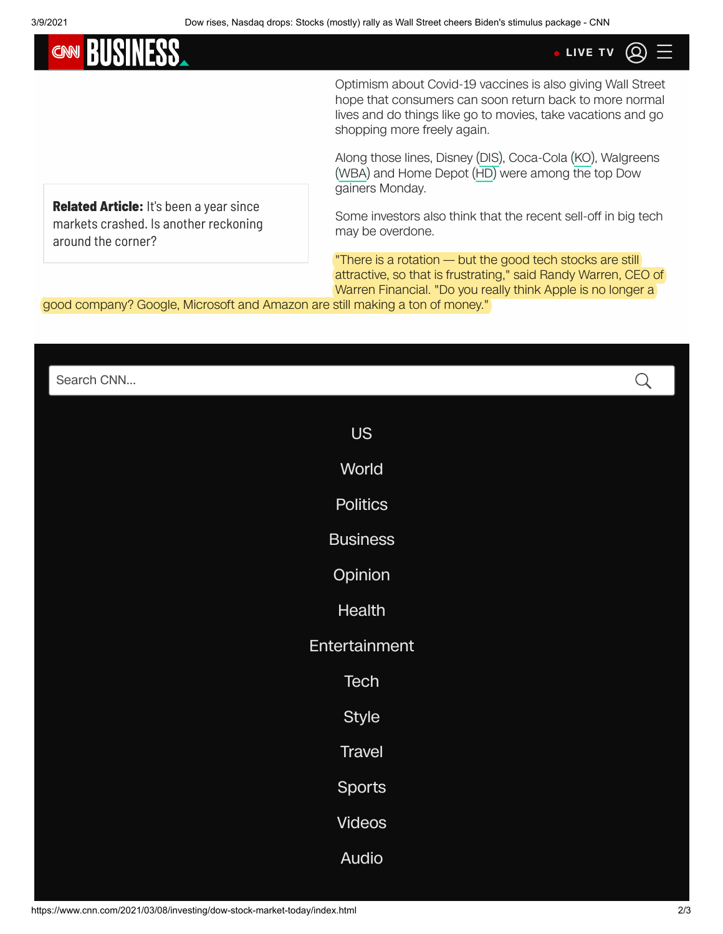**CMN** 

higher inflation and an improving economy, such as banks, **[LIVE TV](http://cnn.it/go2)**

Optimism about Covid-19 vaccines is also giving Wall Street hope that consumers can soon return back to more normal lives and do things like go to movies, take vacations and go shopping more freely again.

Along those lines, Disney [\(DIS\)](https://money.cnn.com/quote/quote.html?symb=DIS&source=story_quote_link), Coca-Cola [\(KO\)](https://money.cnn.com/quote/quote.html?symb=KO&source=story_quote_link), Walgreens [\(WBA](https://money.cnn.com/quote/quote.html?symb=WBA&source=story_quote_link)) and Home Depot [\(HD\)](https://money.cnn.com/quote/quote.html?symb=HD&source=story_quote_link) were among the top Dow gainers Monday.

**Related Article:** It's been a year since [markets crashed. Is another reckoning](https://www.cnn.com/2021/03/07/investing/stocks-week-ahead/index.html) around the corner?

Some investors also think that the recent sell-off in big tech may be overdone.

"There is a rotation — but the good tech stocks are still attractive, so that is frustrating," said Randy Warren, CEO of Warren Financial. "Do you really think Apple is no longer a

good company? Google, Microsoft and Amazon are still making a ton of money."

| Search CNN      | $\mathsf{Q}$ |
|-----------------|--------------|
| <b>US</b>       |              |
| World           |              |
| <b>Politics</b> |              |
| <b>Business</b> |              |
| Opinion         |              |
| Health          |              |
| Entertainment   |              |
| Tech            |              |
| <b>Style</b>    |              |
| <b>Travel</b>   |              |
| <b>Sports</b>   |              |
| <b>Videos</b>   |              |
| Audio           |              |
|                 |              |